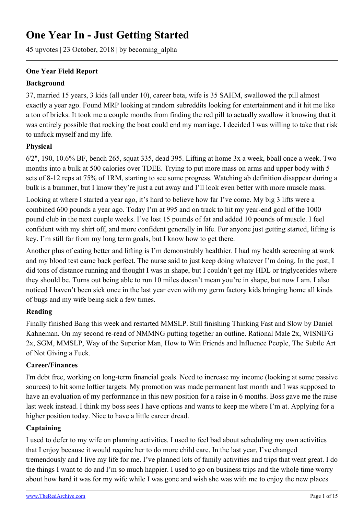# **One Year In - Just Getting Started**

45 upvotes | 23 October, 2018 | by becoming\_alpha

## **One Year Field Report**

#### **Background**

37, married 15 years, 3 kids (all under 10), career beta, wife is 35 SAHM, swallowed the pill almost exactly a year ago. Found MRP looking at random subreddits looking for entertainment and it hit me like a ton of bricks. It took me a couple months from finding the red pill to actually swallow it knowing that it was entirely possible that rocking the boat could end my marriage. I decided I was willing to take that risk to unfuck myself and my life.

#### **Physical**

6'2", 190, 10.6% BF, bench 265, squat 335, dead 395. Lifting at home 3x a week, bball once a week. Two months into a bulk at 500 calories over TDEE. Trying to put more mass on arms and upper body with 5 sets of 8-12 reps at 75% of 1RM, starting to see some progress. Watching ab definition disappear during a bulk is a bummer, but I know they're just a cut away and I'll look even better with more muscle mass.

Looking at where I started a year ago, it's hard to believe how far I've come. My big 3 lifts were a combined 600 pounds a year ago. Today I'm at 995 and on track to hit my year-end goal of the 1000 pound club in the next couple weeks. I've lost 15 pounds of fat and added 10 pounds of muscle. I feel confident with my shirt off, and more confident generally in life. For anyone just getting started, lifting is key. I'm still far from my long term goals, but I know how to get there.

Another plus of eating better and lifting is I'm demonstrably healthier. I had my health screening at work and my blood test came back perfect. The nurse said to just keep doing whatever I'm doing. In the past, I did tons of distance running and thought I was in shape, but I couldn't get my HDL or triglycerides where they should be. Turns out being able to run 10 miles doesn't mean you're in shape, but now I am. I also noticed I haven't been sick once in the last year even with my germ factory kids bringing home all kinds of bugs and my wife being sick a few times.

#### **Reading**

Finally finished Bang this week and restarted MMSLP. Still finishing Thinking Fast and Slow by Daniel Kahneman. On my second re-read of NMMNG putting together an outline. Rational Male 2x, WISNIFG 2x, SGM, MMSLP, Way of the Superior Man, How to Win Friends and Influence People, The Subtle Art of Not Giving a Fuck.

#### **Career/Finances**

I'm debt free, working on long-term financial goals. Need to increase my income (looking at some passive sources) to hit some loftier targets. My promotion was made permanent last month and I was supposed to have an evaluation of my performance in this new position for a raise in 6 months. Boss gave me the raise last week instead. I think my boss sees I have options and wants to keep me where I'm at. Applying for a higher position today. Nice to have a little career dread.

#### **Captaining**

I used to defer to my wife on planning activities. I used to feel bad about scheduling my own activities that I enjoy because it would require her to do more child care. In the last year, I've changed tremendously and I live my life for me. I've planned lots of family activities and trips that went great. I do the things I want to do and I'm so much happier. I used to go on business trips and the whole time worry about how hard it was for my wife while I was gone and wish she was with me to enjoy the new places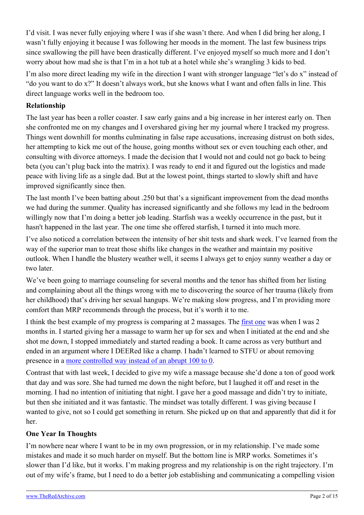I'd visit. I was never fully enjoying where I was if she wasn't there. And when I did bring her along, I wasn't fully enjoying it because I was following her moods in the moment. The last few business trips since swallowing the pill have been drastically different. I've enjoyed myself so much more and I don't worry about how mad she is that I'm in a hot tub at a hotel while she's wrangling 3 kids to bed.

I'm also more direct leading my wife in the direction I want with stronger language "let's do x" instead of "do you want to do x?" It doesn't always work, but she knows what I want and often falls in line. This direct language works well in the bedroom too.

### **Relationship**

The last year has been a roller coaster. I saw early gains and a big increase in her interest early on. Then she confronted me on my changes and I overshared giving her my journal where I tracked my progress. Things went downhill for months culminating in false rape accusations, increasing distrust on both sides, her attempting to kick me out of the house, going months without sex or even touching each other, and consulting with divorce attorneys. I made the decision that I would not and could not go back to being beta (you can't plug back into the matrix). I was ready to end it and figured out the logistics and made peace with living life as a single dad. But at the lowest point, things started to slowly shift and have improved significantly since then.

The last month I've been batting about .250 but that's a significant improvement from the dead months we had during the summer. Quality has increased significantly and she follows my lead in the bedroom willingly now that I'm doing a better job leading. Starfish was a weekly occurrence in the past, but it hasn't happened in the last year. The one time she offered starfish, I turned it into much more.

I've also noticed a correlation between the intensity of her shit tests and shark week. I've learned from the way of the superior man to treat those shifts like changes in the weather and maintain my positive outlook. When I handle the blustery weather well, it seems I always get to enjoy sunny weather a day or two later.

We've been going to marriage counseling for several months and the tenor has shifted from her listing and complaining about all the things wrong with me to discovering the source of her trauma (likely from her childhood) that's driving her sexual hangups. We're making slow progress, and I'm providing more comfort than MRP recommends through the process, but it's worth it to me.

I think the best example of my progress is comparing at 2 massages. The [first one](https://www.reddit.com/r/marriedredpill/comments/7og8mr/2_months_in_but_appearing_butthurt/) was when I was 2 months in. I started giving her a massage to warm her up for sex and when I initiated at the end and she shot me down, I stopped immediately and started reading a book. It came across as very butthurt and ended in an argument where I DEERed like a champ. I hadn't learned to STFU or about removing presence in a [more controlled way instead of an abrupt 100 to 0.](https://www.reddit.com/r/marriedredpill/comments/3qm961/verbal_intercourse_is_optional/cwgn5sb/)

Contrast that with last week, I decided to give my wife a massage because she'd done a ton of good work that day and was sore. She had turned me down the night before, but I laughed it off and reset in the morning. I had no intention of initiating that night. I gave her a good massage and didn't try to initiate, but then she initiated and it was fantastic. The mindset was totally different. I was giving because I wanted to give, not so I could get something in return. She picked up on that and apparently that did it for her.

#### **One Year In Thoughts**

I'm nowhere near where I want to be in my own progression, or in my relationship. I've made some mistakes and made it so much harder on myself. But the bottom line is MRP works. Sometimes it's slower than I'd like, but it works. I'm making progress and my relationship is on the right trajectory. I'm out of my wife's frame, but I need to do a better job establishing and communicating a compelling vision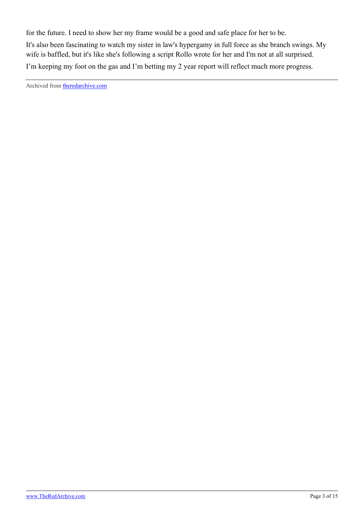for the future. I need to show her my frame would be a good and safe place for her to be. It's also been fascinating to watch my sister in law's hypergamy in full force as she branch swings. My wife is baffled, but it's like she's following a script Rollo wrote for her and I'm not at all surprised. I'm keeping my foot on the gas and I'm betting my 2 year report will reflect much more progress.

Archived from [theredarchive.com](https://theredarchive.com/r/MarriedRedPill/one-year-in-just-getting-started.197638)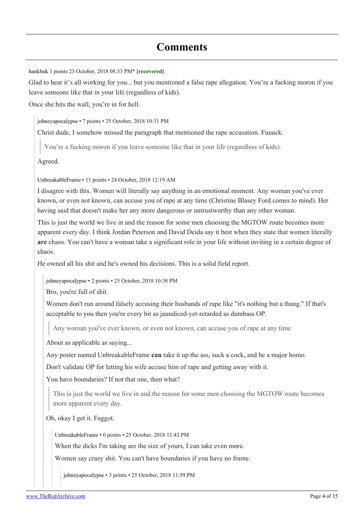# **Comments**

[hankbuk](https://old.reddit.com/user/hankbuk) 1 points 23 October, 2018 08:33 PM\* **[recovered]**

Glad to hear it's all working for you... but you mentioned a false rape allegation. You're a fucking moron if you leave someone like that in your life (regardless of kids).

Once she hits the wall, you're in for hell.

[johneyapocalypse](https://old.reddit.com/user/johneyapocalypse) • 7 points • 25 October, 2018 10:31 PM

Christ dude, I somehow missed the paragraph that mentioned the rape accusation. Fuuuck.

You're a fucking moron if you leave someone like that in your life (regardless of kids).

Agreed.

[UnbreakableFrame](https://old.reddit.com/user/UnbreakableFrame) • 11 points • 24 October, 2018 12:19 AM

I disagree with this. Women will literally say anything in an emotional moment. Any woman you've ever known, or even not known, can accuse you of rape at any time (Christine Blasey Ford comes to mind). Her having said that doesn't make her any more dangerous or untrustworthy than any other woman.

This is just the world we live in and the reason for some men choosing the MGTOW route becomes more apparent every day. I think Jordan Peterson and David Deida say it best when they state that women literally **are** chaos. You can't have a woman take a significant role in your life without inviting in a certain degree of chaos.

He owned all his shit and he's owned his decisions. This is a solid field report.

[johneyapocalypse](https://old.reddit.com/user/johneyapocalypse) • 2 points • 25 October, 2018 10:38 PM

Bro, you're full of shit.

Women don't run around falsely accusing their husbands of rape like "it's nothing but a thang." If that's acceptable to you then you're every bit as jaundiced-yet-retarded as dumbass OP.

Any woman you've ever known, or even not known, can accuse you of rape at any time

About as applicable as saying...

Any poster named UnbreakableFrame **can** take it up the ass, suck a cock, and be a major homo.

Don't validate OP for letting his wife accuse him of rape and getting away with it.

You have boundaries? If not that one, then what?

This is just the world we live in and the reason for some men choosing the MGTOW route becomes more apparent every day.

Oh, okay I get it. Faggot.

[UnbreakableFrame](https://old.reddit.com/user/UnbreakableFrame) • 0 points • 25 October, 2018 11:43 PM

When the dicks I'm taking are the size of yours, I can take even more.

Women say crazy shit. You can't have boundaries if you have no frame.

[johneyapocalypse](https://old.reddit.com/user/johneyapocalypse) • 3 points • 25 October, 2018 11:59 PM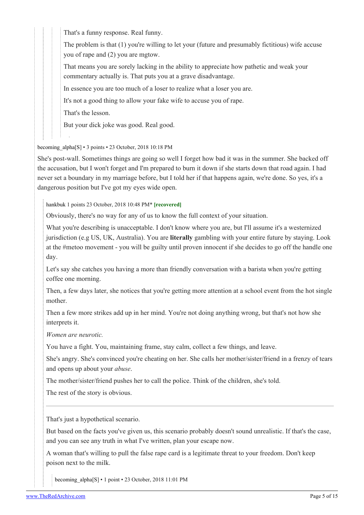That's a funny response. Real funny.

The problem is that (1) you're willing to let your (future and presumably fictitious) wife accuse you of rape and (2) you are mgtow.

That means you are sorely lacking in the ability to appreciate how pathetic and weak your commentary actually is. That puts you at a grave disadvantage.

In essence you are too much of a loser to realize what a loser you are.

It's not a good thing to allow your fake wife to accuse you of rape.

That's the lesson.

But your dick joke was good. Real good.

becoming alpha[\[S\]](https://theredarchive.com/r/marriedredpill/comments/9qscx3/one_year_in_just_getting_started/) • 3 points • 23 October, 2018 10:18 PM

She's post-wall. Sometimes things are going so well I forget how bad it was in the summer. She backed off the accusation, but I won't forget and I'm prepared to burn it down if she starts down that road again. I had never set a boundary in my marriage before, but I told her if that happens again, we're done. So yes, it's a dangerous position but I've got my eyes wide open.

[hankbuk](https://old.reddit.com/user/hankbuk) 1 points 23 October, 2018 10:48 PM\* **[recovered]**

Obviously, there's no way for any of us to know the full context of your situation.

What you're describing is unacceptable. I don't know where you are, but I'll assume it's a westernized jurisdiction (e.g US, UK, Australia). You are **literally** gambling with your entire future by staying. Look at the #metoo movement - you will be guilty until proven innocent if she decides to go off the handle one day.

Let's say she catches you having a more than friendly conversation with a barista when you're getting coffee one morning.

Then, a few days later, she notices that you're getting more attention at a school event from the hot single mother.

Then a few more strikes add up in her mind. You're not doing anything wrong, but that's not how she interprets it.

*Women are neurotic.*

You have a fight. You, maintaining frame, stay calm, collect a few things, and leave.

She's angry. She's convinced you're cheating on her. She calls her mother/sister/friend in a frenzy of tears and opens up about your *abuse*.

The mother/sister/friend pushes her to call the police. Think of the children, she's told.

The rest of the story is obvious.

That's just a hypothetical scenario.

But based on the facts you've given us, this scenario probably doesn't sound unrealistic. If that's the case, and you can see any truth in what I've written, plan your escape now.

A woman that's willing to pull the false rape card is a legitimate threat to your freedom. Don't keep poison next to the milk.

becoming alpha[[S](https://theredarchive.com/r/marriedredpill/comments/9qscx3/one_year_in_just_getting_started/)] • 1 point • 23 October, 2018 11:01 PM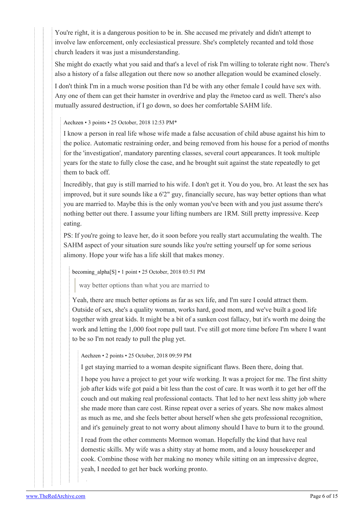You're right, it is a dangerous position to be in. She accused me privately and didn't attempt to involve law enforcement, only ecclesiastical pressure. She's completely recanted and told those church leaders it was just a misunderstanding.

She might do exactly what you said and that's a level of risk I'm willing to tolerate right now. There's also a history of a false allegation out there now so another allegation would be examined closely.

I don't think I'm in a much worse position than I'd be with any other female I could have sex with. Any one of them can get their hamster in overdrive and play the #metoo card as well. There's also mutually assured destruction, if I go down, so does her comfortable SAHM life.

#### [Aechzen](https://old.reddit.com/user/Aechzen) • 3 points • 25 October, 2018 12:53 PM\*

I know a person in real life whose wife made a false accusation of child abuse against his him to the police. Automatic restraining order, and being removed from his house for a period of months for the 'investigation', mandatory parenting classes, several court appearances. It took multiple years for the state to fully close the case, and he brought suit against the state repeatedly to get them to back off.

Incredibly, that guy is still married to his wife. I don't get it. You do you, bro. At least the sex has improved, but it sure sounds like a 6'2" guy, financially secure, has way better options than what you are married to. Maybe this is the only woman you've been with and you just assume there's nothing better out there. I assume your lifting numbers are 1RM. Still pretty impressive. Keep eating.

PS: If you're going to leave her, do it soon before you really start accumulating the wealth. The SAHM aspect of your situation sure sounds like you're setting yourself up for some serious alimony. Hope your wife has a life skill that makes money.

[becoming\\_alpha](https://old.reddit.com/user/becoming_alpha)[\[S\]](https://theredarchive.com/r/marriedredpill/comments/9qscx3/one_year_in_just_getting_started/) • 1 point • 25 October, 2018 03:51 PM

way better options than what you are married to

Yeah, there are much better options as far as sex life, and I'm sure I could attract them. Outside of sex, she's a quality woman, works hard, good mom, and we've built a good life together with great kids. It might be a bit of a sunken cost fallacy, but it's worth me doing the work and letting the 1,000 foot rope pull taut. I've still got more time before I'm where I want to be so I'm not ready to pull the plug yet.

[Aechzen](https://old.reddit.com/user/Aechzen) • 2 points • 25 October, 2018 09:59 PM

I get staying married to a woman despite significant flaws. Been there, doing that.

I hope you have a project to get your wife working. It was a project for me. The first shitty job after kids wife got paid a bit less than the cost of care. It was worth it to get her off the couch and out making real professional contacts. That led to her next less shitty job where she made more than care cost. Rinse repeat over a series of years. She now makes almost as much as me, and she feels better about herself when she gets professional recognition, and it's genuinely great to not worry about alimony should I have to burn it to the ground.

I read from the other comments Mormon woman. Hopefully the kind that have real domestic skills. My wife was a shitty stay at home mom, and a lousy housekeeper and cook. Combine those with her making no money while sitting on an impressive degree, yeah, I needed to get her back working pronto.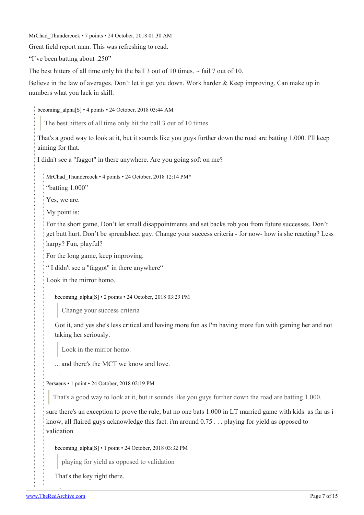[MrChad\\_Thundercock](https://old.reddit.com/user/MrChad_Thundercock) • 7 points • 24 October, 2018 01:30 AM

Great field report man. This was refreshing to read.

"I've been batting about .250"

The best hitters of all time only hit the ball 3 out of 10 times.  $\sim$  fail 7 out of 10.

Believe in the law of averages. Don't let it get you down. Work harder & Keep improving. Can make up in numbers what you lack in skill.

becoming alpha[\[S\]](https://theredarchive.com/r/marriedredpill/comments/9qscx3/one_year_in_just_getting_started/) • 4 points • 24 October, 2018 03:44 AM

The best hitters of all time only hit the ball 3 out of 10 times.

That's a good way to look at it, but it sounds like you guys further down the road are batting 1.000. I'll keep aiming for that.

I didn't see a "faggot" in there anywhere. Are you going soft on me?

[MrChad\\_Thundercock](https://old.reddit.com/user/MrChad_Thundercock) • 4 points • 24 October, 2018 12:14 PM\*

"batting 1.000"

Yes, we are.

My point is:

For the short game, Don't let small disappointments and set backs rob you from future successes. Don't get butt hurt. Don't be spreadsheet guy. Change your success criteria - for now- how is she reacting? Less harpy? Fun, playful?

For the long game, keep improving.

" I didn't see a "faggot" in there anywhere"

Look in the mirror homo.

[becoming\\_alpha\[](https://old.reddit.com/user/becoming_alpha)[S](https://theredarchive.com/r/marriedredpill/comments/9qscx3/one_year_in_just_getting_started/)] • 2 points • 24 October, 2018 03:29 PM

Change your success criteria

Got it, and yes she's less critical and having more fun as I'm having more fun with gaming her and not taking her seriously.

Look in the mirror homo.

... and there's the MCT we know and love.

[Persaeus](https://old.reddit.com/user/Persaeus) • 1 point • 24 October, 2018 02:19 PM

That's a good way to look at it, but it sounds like you guys further down the road are batting 1.000.

sure there's an exception to prove the rule; but no one bats 1.000 in LT married game with kids. as far as i know, all flaired guys acknowledge this fact. i'm around 0.75 . . . playing for yield as opposed to validation

[becoming\\_alpha\[](https://old.reddit.com/user/becoming_alpha)[S](https://theredarchive.com/r/marriedredpill/comments/9qscx3/one_year_in_just_getting_started/)] • 1 point • 24 October, 2018 03:32 PM

playing for yield as opposed to validation

That's the key right there.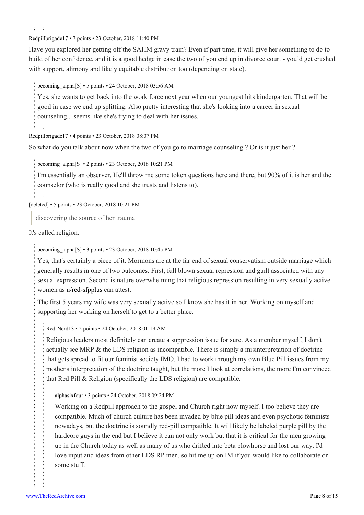[Redpillbrigade17](https://old.reddit.com/user/Redpillbrigade17) • 7 points • 23 October, 2018 11:40 PM

Have you explored her getting off the SAHM gravy train? Even if part time, it will give her something to do to build of her confidence, and it is a good hedge in case the two of you end up in divorce court - you'd get crushed with support, alimony and likely equitable distribution too (depending on state).

becoming alpha[\[S\]](https://theredarchive.com/r/marriedredpill/comments/9qscx3/one_year_in_just_getting_started/) • 5 points • 24 October, 2018 03:56 AM

Yes, she wants to get back into the work force next year when our youngest hits kindergarten. That will be good in case we end up splitting. Also pretty interesting that she's looking into a career in sexual counseling... seems like she's trying to deal with her issues.

[Redpillbrigade17](https://old.reddit.com/user/Redpillbrigade17) • 4 points • 23 October, 2018 08:07 PM

So what do you talk about now when the two of you go to marriage counseling ? Or is it just her ?

becoming alpha[\[S\]](https://theredarchive.com/r/marriedredpill/comments/9qscx3/one_year_in_just_getting_started/) • 2 points • 23 October, 2018 10:21 PM

I'm essentially an observer. He'll throw me some token questions here and there, but 90% of it is her and the counselor (who is really good and she trusts and listens to).

[deleted] • 5 points • 23 October, 2018 10:21 PM

discovering the source of her trauma

It's called religion.

[becoming\\_alpha](https://old.reddit.com/user/becoming_alpha)[\[S\]](https://theredarchive.com/r/marriedredpill/comments/9qscx3/one_year_in_just_getting_started/) • 3 points • 23 October, 2018 10:45 PM

Yes, that's certainly a piece of it. Mormons are at the far end of sexual conservatism outside marriage which generally results in one of two outcomes. First, full blown sexual repression and guilt associated with any sexual expression. Second is nature overwhelming that religious repression resulting in very sexually active women as [u/red-sfpplus](https://theredarchive.com/u/red-sfpplus) can attest.

The first 5 years my wife was very sexually active so I know she has it in her. Working on myself and supporting her working on herself to get to a better place.

[Red-Nerd13](https://old.reddit.com/user/Red-Nerd13) • 2 points • 24 October, 2018 01:19 AM

Religious leaders most definitely can create a suppression issue for sure. As a member myself, I don't actually see MRP & the LDS religion as incompatible. There is simply a misinterpretation of doctrine that gets spread to fit our feminist society IMO. I had to work through my own Blue Pill issues from my mother's interpretation of the doctrine taught, but the more I look at correlations, the more I'm convinced that Red Pill & Religion (specifically the LDS religion) are compatible.

[alphasixfour](https://old.reddit.com/user/alphasixfour) • 3 points • 24 October, 2018 09:24 PM

Working on a Redpill approach to the gospel and Church right now myself. I too believe they are compatible. Much of church culture has been invaded by blue pill ideas and even psychotic feminists nowadays, but the doctrine is soundly red-pill compatible. It will likely be labeled purple pill by the hardcore guys in the end but I believe it can not only work but that it is critical for the men growing up in the Church today as well as many of us who drifted into beta plowhorse and lost our way. I'd love input and ideas from other LDS RP men, so hit me up on IM if you would like to collaborate on some stuff.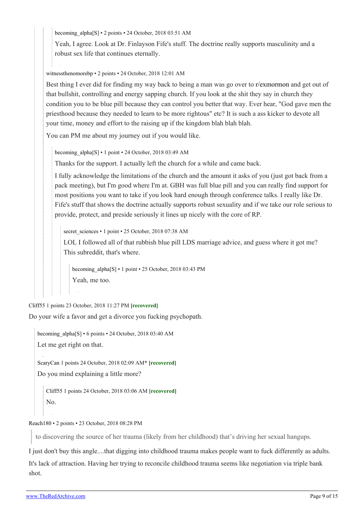becoming alpha[[S](https://theredarchive.com/r/marriedredpill/comments/9qscx3/one_year_in_just_getting_started/)] • 2 points • 24 October, 2018 03:51 AM

Yeah, I agree. Look at Dr. Finlayson Fife's stuff. The doctrine really supports masculinity and a robust sex life that continues eternally.

[witnessthenomorebp](https://old.reddit.com/user/witnessthenomorebp) • 2 points • 24 October, 2018 12:01 AM

Best thing I ever did for finding my way back to being a man was go over to [r/exmormon](https://theredarchive.com/r/exmormon) and get out of that bullshit, controlling and energy sapping church. If you look at the shit they say in church they condition you to be blue pill because they can control you better that way. Ever hear, "God gave men the priesthood because they needed to learn to be more rightous" etc? It is such a ass kicker to devote all your time, money and effort to the raising up if the kingdom blah blah blah.

You can PM me about my journey out if you would like.

[becoming\\_alpha\[](https://old.reddit.com/user/becoming_alpha)[S](https://theredarchive.com/r/marriedredpill/comments/9qscx3/one_year_in_just_getting_started/)] • 1 point • 24 October, 2018 03:49 AM

Thanks for the support. I actually left the church for a while and came back.

I fully acknowledge the limitations of the church and the amount it asks of you (just got back from a pack meeting), but I'm good where I'm at. GBH was full blue pill and you can really find support for most positions you want to take if you look hard enough through conference talks. I really like Dr. Fife's stuff that shows the doctrine actually supports robust sexuality and if we take our role serious to provide, protect, and preside seriously it lines up nicely with the core of RP.

[secret\\_sciences](https://old.reddit.com/user/secret_sciences) • 1 point • 25 October, 2018 07:38 AM

LOL I followed all of that rubbish blue pill LDS marriage advice, and guess where it got me? This subreddit, that's where.

[becoming\\_alpha](https://old.reddit.com/user/becoming_alpha)[\[S\]](https://theredarchive.com/r/marriedredpill/comments/9qscx3/one_year_in_just_getting_started/) • 1 point • 25 October, 2018 03:43 PM Yeah, me too.

[Cliff55](https://old.reddit.com/user/Cliff55) 1 points 23 October, 2018 11:27 PM **[recovered]**

Do your wife a favor and get a divorce you fucking psychopath.

[becoming\\_alpha](https://old.reddit.com/user/becoming_alpha)[\[S\]](https://theredarchive.com/r/marriedredpill/comments/9qscx3/one_year_in_just_getting_started/) • 6 points • 24 October, 2018 03:40 AM

Let me get right on that.

[ScaryCan](https://old.reddit.com/user/ScaryCan) 1 points 24 October, 2018 02:09 AM\* **[recovered]** Do you mind explaining a little more?

[Cliff55](https://old.reddit.com/user/Cliff55) 1 points 24 October, 2018 03:06 AM **[recovered]** No.

[Reach180](https://old.reddit.com/user/Reach180) • 2 points • 23 October, 2018 08:28 PM

to discovering the source of her trauma (likely from her childhood) that's driving her sexual hangups.

I just don't buy this angle....that digging into childhood trauma makes people want to fuck differently as adults. It's lack of attraction. Having her trying to reconcile childhood trauma seems like negotiation via triple bank shot.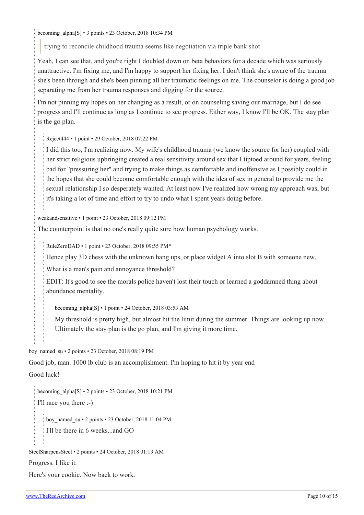[becoming\\_alpha](https://old.reddit.com/user/becoming_alpha)[\[S\]](https://theredarchive.com/r/marriedredpill/comments/9qscx3/one_year_in_just_getting_started/) • 3 points • 23 October, 2018 10:34 PM

trying to reconcile childhood trauma seems like negotiation via triple bank shot

Yeah, I can see that, and you're right I doubled down on beta behaviors for a decade which was seriously unattractive. I'm fixing me, and I'm happy to support her fixing her. I don't think she's aware of the trauma she's been through and she's been pinning all her traumatic feelings on me. The counselor is doing a good job separating me from her trauma responses and digging for the source.

I'm not pinning my hopes on her changing as a result, or on counseling saving our marriage, but I do see progress and I'll continue as long as I continue to see progress. Either way, I know I'll be OK. The stay plan is the go plan.

[Reject444](https://old.reddit.com/user/Reject444) • 1 point • 29 October, 2018 07:22 PM

I did this too, I'm realizing now. My wife's childhood trauma (we know the source for her) coupled with her strict religious upbringing created a real sensitivity around sex that I tiptoed around for years, feeling bad for "pressuring her" and trying to make things as comfortable and inoffensive as I possibly could in the hopes that she could become comfortable enough with the idea of sex in general to provide me the sexual relationship I so desperately wanted. At least now I've realized how wrong my approach was, but it's taking a lot of time and effort to try to undo what I spent years doing before.

[weakandsensitive](https://old.reddit.com/user/weakandsensitive) • 1 point • 23 October, 2018 09:12 PM

The counterpoint is that no one's really quite sure how human psychology works.

[RuleZeroDAD](https://old.reddit.com/user/RuleZeroDAD) • 1 point • 23 October, 2018 09:55 PM\*

Hence play 3D chess with the unknown hang ups, or place widget A into slot B with someone new.

What is a man's pain and annoyance threshold?

EDIT: It's good to see the morals police haven't lost their touch or learned a goddamned thing about abundance mentality.

[becoming\\_alpha\[](https://old.reddit.com/user/becoming_alpha)[S](https://theredarchive.com/r/marriedredpill/comments/9qscx3/one_year_in_just_getting_started/)] • 1 point • 24 October, 2018 03:53 AM

My threshold is pretty high, but almost hit the limit during the summer. Things are looking up now. Ultimately the stay plan is the go plan, and I'm giving it more time.

[boy\\_named\\_su](https://old.reddit.com/user/boy_named_su) • 2 points • 23 October, 2018 08:19 PM

Good job, man. 1000 lb club is an accomplishment. I'm hoping to hit it by year end

Good luck!

[becoming\\_alpha](https://old.reddit.com/user/becoming_alpha)[\[S\]](https://theredarchive.com/r/marriedredpill/comments/9qscx3/one_year_in_just_getting_started/) • 2 points • 23 October, 2018 10:21 PM I'll race you there :-)

[boy\\_named\\_su](https://old.reddit.com/user/boy_named_su) • 2 points • 23 October, 2018 11:04 PM I'll be there in 6 weeks...and GO

[SteelSharpensSteel](https://old.reddit.com/user/SteelSharpensSteel) • 2 points • 24 October, 2018 01:13 AM

Progress. I like it.

Here's your cookie. Now back to work.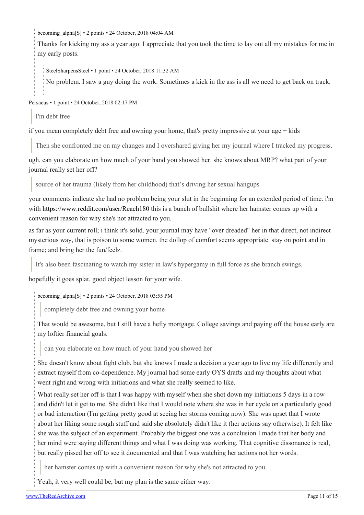becoming alpha[\[S\]](https://theredarchive.com/r/marriedredpill/comments/9qscx3/one_year_in_just_getting_started/) • 2 points • 24 October, 2018 04:04 AM

Thanks for kicking my ass a year ago. I appreciate that you took the time to lay out all my mistakes for me in my early posts.

[SteelSharpensSteel](https://old.reddit.com/user/SteelSharpensSteel) • 1 point • 24 October, 2018 11:32 AM

No problem. I saw a guy doing the work. Sometimes a kick in the ass is all we need to get back on track.

[Persaeus](https://old.reddit.com/user/Persaeus) • 1 point • 24 October, 2018 02:17 PM

I'm debt free

if you mean completely debt free and owning your home, that's pretty impressive at your age  $+$  kids

Then she confronted me on my changes and I overshared giving her my journal where I tracked my progress.

ugh. can you elaborate on how much of your hand you showed her. she knows about MRP? what part of your journal really set her off?

source of her trauma (likely from her childhood) that's driving her sexual hangups

your comments indicate she had no problem being your slut in the beginning for an extended period of time. i'm with <https://www.reddit.com/user/Reach180> this is a bunch of bullshit where her hamster comes up with a convenient reason for why she's not attracted to you.

as far as your current roll; i think it's solid. your journal may have "over dreaded" her in that direct, not indirect mysterious way, that is poison to some women. the dollop of comfort seems appropriate. stay on point and in frame; and bring her the fun/feelz.

It's also been fascinating to watch my sister in law's hypergamy in full force as she branch swings.

hopefully it goes splat. good object lesson for your wife.

[becoming\\_alpha](https://old.reddit.com/user/becoming_alpha)[\[S\]](https://theredarchive.com/r/marriedredpill/comments/9qscx3/one_year_in_just_getting_started/) • 2 points • 24 October, 2018 03:55 PM

completely debt free and owning your home

That would be awesome, but I still have a hefty mortgage. College savings and paying off the house early are my loftier financial goals.

can you elaborate on how much of your hand you showed her

She doesn't know about fight club, but she knows I made a decision a year ago to live my life differently and extract myself from co-dependence. My journal had some early OYS drafts and my thoughts about what went right and wrong with initiations and what she really seemed to like.

What really set her off is that I was happy with myself when she shot down my initiations 5 days in a row and didn't let it get to me. She didn't like that I would note where she was in her cycle on a particularly good or bad interaction (I'm getting pretty good at seeing her storms coming now). She was upset that I wrote about her liking some rough stuff and said she absolutely didn't like it (her actions say otherwise). It felt like she was the subject of an experiment. Probably the biggest one was a conclusion I made that her body and her mind were saying different things and what I was doing was working. That cognitive dissonance is real, but really pissed her off to see it documented and that I was watching her actions not her words.

her hamster comes up with a convenient reason for why she's not attracted to you

Yeah, it very well could be, but my plan is the same either way.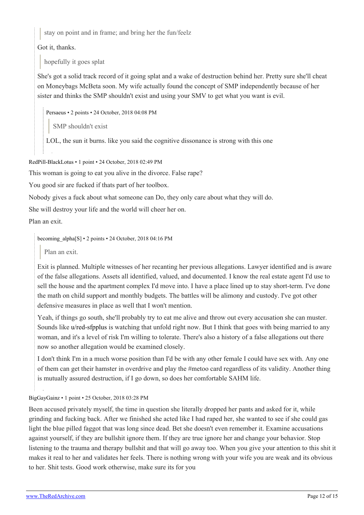stay on point and in frame; and bring her the fun/feelz

Got it, thanks.

hopefully it goes splat

She's got a solid track record of it going splat and a wake of destruction behind her. Pretty sure she'll cheat on Moneybags McBeta soon. My wife actually found the concept of SMP independently because of her sister and thinks the SMP shouldn't exist and using your SMV to get what you want is evil.

[Persaeus](https://old.reddit.com/user/Persaeus) • 2 points • 24 October, 2018 04:08 PM

SMP shouldn't exist

LOL, the sun it burns. like you said the cognitive dissonance is strong with this one

[RedPill-BlackLotus](https://old.reddit.com/user/RedPill-BlackLotus) • 1 point • 24 October, 2018 02:49 PM

This woman is going to eat you alive in the divorce. False rape?

You good sir are fucked if thats part of her toolbox.

Nobody gives a fuck about what someone can Do, they only care about what they will do.

She will destroy your life and the world will cheer her on.

Plan an exit.

[becoming\\_alpha](https://old.reddit.com/user/becoming_alpha)[\[S\]](https://theredarchive.com/r/marriedredpill/comments/9qscx3/one_year_in_just_getting_started/) • 2 points • 24 October, 2018 04:16 PM

Plan an exit.

Exit is planned. Multiple witnesses of her recanting her previous allegations. Lawyer identified and is aware of the false allegations. Assets all identified, valued, and documented. I know the real estate agent I'd use to sell the house and the apartment complex I'd move into. I have a place lined up to stay short-term. I've done the math on child support and monthly budgets. The battles will be alimony and custody. I've got other defensive measures in place as well that I won't mention.

Yeah, if things go south, she'll probably try to eat me alive and throw out every accusation she can muster. Sounds like [u/red-sfpplus](https://theredarchive.com/u/red-sfpplus) is watching that unfold right now. But I think that goes with being married to any woman, and it's a level of risk I'm willing to tolerate. There's also a history of a false allegations out there now so another allegation would be examined closely.

I don't think I'm in a much worse position than I'd be with any other female I could have sex with. Any one of them can get their hamster in overdrive and play the #metoo card regardless of its validity. Another thing is mutually assured destruction, if I go down, so does her comfortable SAHM life.

[BigGayGainz](https://old.reddit.com/user/BigGayGainz) • 1 point • 25 October, 2018 03:28 PM

Been accused privately myself, the time in question she literally dropped her pants and asked for it, while grinding and fucking back. After we finished she acted like I had raped her, she wanted to see if she could gas light the blue pilled faggot that was long since dead. Bet she doesn't even remember it. Examine accusations against yourself, if they are bullshit ignore them. If they are true ignore her and change your behavior. Stop listening to the trauma and therapy bullshit and that will go away too. When you give your attention to this shit it makes it real to her and validates her feels. There is nothing wrong with your wife you are weak and its obvious to her. Shit tests. Good work otherwise, make sure its for you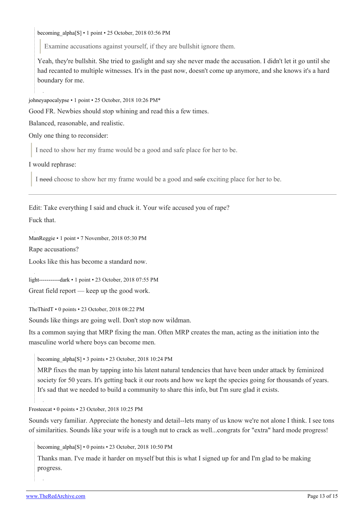becoming alpha[\[S\]](https://theredarchive.com/r/marriedredpill/comments/9qscx3/one_year_in_just_getting_started/) • 1 point • 25 October, 2018 03:56 PM

Examine accusations against yourself, if they are bullshit ignore them.

Yeah, they're bullshit. She tried to gaslight and say she never made the accusation. I didn't let it go until she had recanted to multiple witnesses. It's in the past now, doesn't come up anymore, and she knows it's a hard boundary for me.

[johneyapocalypse](https://old.reddit.com/user/johneyapocalypse) • 1 point • 25 October, 2018 10:26 PM\*

Good FR. Newbies should stop whining and read this a few times.

Balanced, reasonable, and realistic.

Only one thing to reconsider:

I need to show her my frame would be a good and safe place for her to be.

I would rephrase:

I need choose to show her my frame would be a good and safe exciting place for her to be.

Edit: Take everything I said and chuck it. Your wife accused you of rape? Fuck that.

[ManReggie](https://old.reddit.com/user/ManReggie) • 1 point • 7 November, 2018 05:30 PM

Rape accusations?

Looks like this has become a standard now.

[light-----------dark](https://old.reddit.com/user/light-----------dark) • 1 point • 23 October, 2018 07:55 PM

Great field report — keep up the good work.

[TheThirdT](https://old.reddit.com/user/TheThirdT) • 0 points • 23 October, 2018 08:22 PM

Sounds like things are going well. Don't stop now wildman.

Its a common saying that MRP fixing the man. Often MRP creates the man, acting as the initiation into the masculine world where boys can become men.

[becoming\\_alpha](https://old.reddit.com/user/becoming_alpha)[\[S\]](https://theredarchive.com/r/marriedredpill/comments/9qscx3/one_year_in_just_getting_started/) • 3 points • 23 October, 2018 10:24 PM

MRP fixes the man by tapping into his latent natural tendencies that have been under attack by feminized society for 50 years. It's getting back it our roots and how we kept the species going for thousands of years. It's sad that we needed to build a community to share this info, but I'm sure glad it exists.

[Frosteecat](https://old.reddit.com/user/Frosteecat) • 0 points • 23 October, 2018 10:25 PM

Sounds very familiar. Appreciate the honesty and detail--lets many of us know we're not alone I think. I see tons of similarities. Sounds like your wife is a tough nut to crack as well...congrats for "extra" hard mode progress!

becoming alpha[\[S\]](https://theredarchive.com/r/marriedredpill/comments/9qscx3/one_year_in_just_getting_started/) • 0 points • 23 October, 2018 10:50 PM

Thanks man. I've made it harder on myself but this is what I signed up for and I'm glad to be making progress.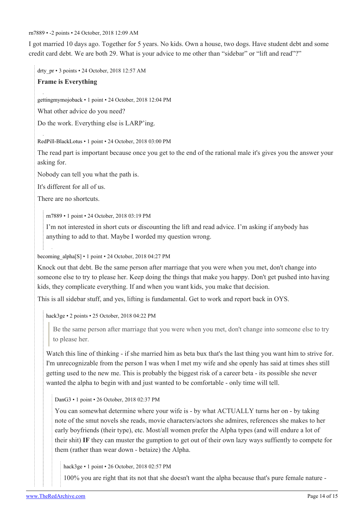[rn7889](https://old.reddit.com/user/rn7889) • -2 points • 24 October, 2018 12:09 AM

I got married 10 days ago. Together for 5 years. No kids. Own a house, two dogs. Have student debt and some credit card debt. We are both 29. What is your advice to me other than "sidebar" or "lift and read"?"

drty pr • 3 points • 24 October, 2018 12:57 AM

#### **Frame is Everything**

[gettingmymojoback](https://old.reddit.com/user/gettingmymojoback) • 1 point • 24 October, 2018 12:04 PM

What other advice do you need?

Do the work. Everything else is LARP'ing.

[RedPill-BlackLotus](https://old.reddit.com/user/RedPill-BlackLotus) • 1 point • 24 October, 2018 03:00 PM

The read part is important because once you get to the end of the rational male it's gives you the answer your asking for.

Nobody can tell you what the path is.

It's different for all of us.

There are no shortcuts.

[rn7889](https://old.reddit.com/user/rn7889) • 1 point • 24 October, 2018 03:19 PM

I'm not interested in short cuts or discounting the lift and read advice. I'm asking if anybody has anything to add to that. Maybe I worded my question wrong.

[becoming\\_alpha](https://old.reddit.com/user/becoming_alpha)[\[S\]](https://theredarchive.com/r/marriedredpill/comments/9qscx3/one_year_in_just_getting_started/) • 1 point • 24 October, 2018 04:27 PM

Knock out that debt. Be the same person after marriage that you were when you met, don't change into someone else to try to please her. Keep doing the things that make you happy. Don't get pushed into having kids, they complicate everything. If and when you want kids, you make that decision.

This is all sidebar stuff, and yes, lifting is fundamental. Get to work and report back in OYS.

[hack3ge](https://old.reddit.com/user/hack3ge) • 2 points • 25 October, 2018 04:22 PM

Be the same person after marriage that you were when you met, don't change into someone else to try to please her.

Watch this line of thinking - if she married him as beta bux that's the last thing you want him to strive for. I'm unrecognizable from the person I was when I met my wife and she openly has said at times shes still getting used to the new me. This is probably the biggest risk of a career beta - its possible she never wanted the alpha to begin with and just wanted to be comfortable - only time will tell.

[DanG3](https://old.reddit.com/user/DanG3) • 1 point • 26 October, 2018 02:37 PM

You can somewhat determine where your wife is - by what ACTUALLY turns her on - by taking note of the smut novels she reads, movie characters/actors she admires, references she makes to her early boyfriends (their type), etc. Most/all women prefer the Alpha types (and will endure a lot of their shit) **IF** they can muster the gumption to get out of their own lazy ways suffiently to compete for them (rather than wear down - betaize) the Alpha.

[hack3ge](https://old.reddit.com/user/hack3ge) • 1 point • 26 October, 2018 02:57 PM

100% you are right that its not that she doesn't want the alpha because that's pure female nature -